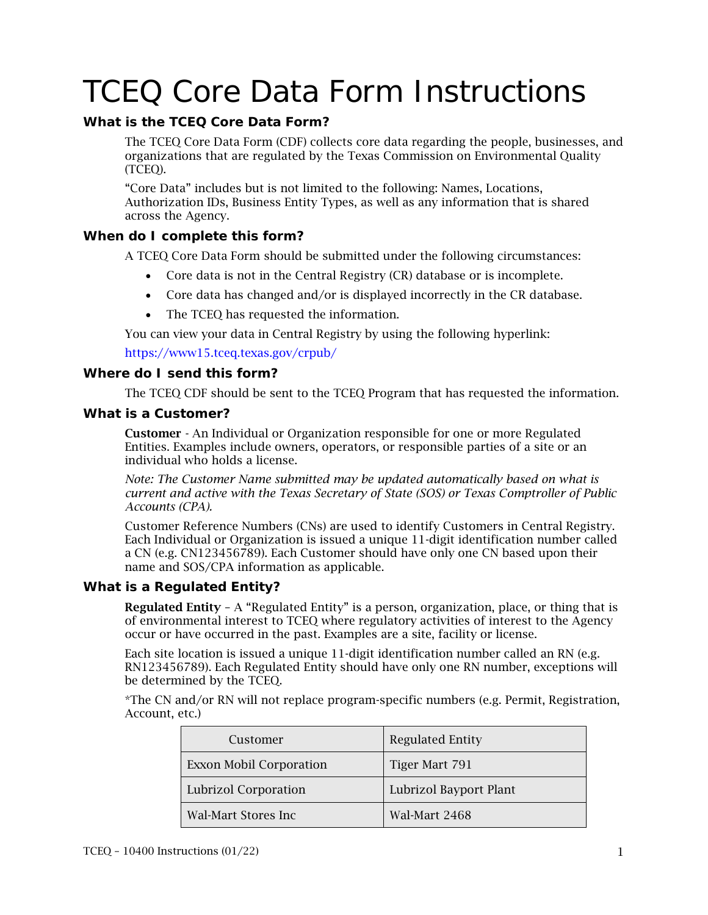# TCEQ Core Data Form Instructions

# **What is the TCEQ Core Data Form?**

The TCEQ Core Data Form (CDF) collects core data regarding the people, businesses, and organizations that are regulated by the Texas Commission on Environmental Quality (TCEQ).

"Core Data" includes but is not limited to the following: Names, Locations, Authorization IDs, Business Entity Types, as well as any information that is shared across the Agency.

# **When do I complete this form?**

A TCEQ Core Data Form should be submitted under the following circumstances:

- Core data is not in the Central Registry (CR) database or is incomplete.
- Core data has changed and/or is displayed incorrectly in the CR database.
- The TCEQ has requested the information.

You can view your data in Central Registry by using the following hyperlink:

https[://www15.tceq.texas.gov/crpub/](https://www15.tceq.texas.gov/crpub/)

## **Where do I send this form?**

The TCEQ CDF should be sent to the TCEQ Program that has requested the information.

## **What is a Customer?**

Customer - An Individual or Organization responsible for one or more Regulated Entities. Examples include owners, operators, or responsible parties of a site or an individual who holds a license.

*Note: The Customer Name submitted may be updated automatically based on what is current and active with the Texas Secretary of State (SOS) or Texas Comptroller of Public Accounts (CPA).*

Customer Reference Numbers (CNs) are used to identify Customers in Central Registry. Each Individual or Organization is issued a unique 11-digit identification number called a CN (e.g. CN123456789). Each Customer should have only one CN based upon their name and SOS/CPA information as applicable.

## **What is a Regulated Entity?**

Regulated Entity - A "Regulated Entity" is a person, organization, place, or thing that is of environmental interest to TCEQ where regulatory activities of interest to the Agency occur or have occurred in the past. Examples are a site, facility or license.

Each site location is issued a unique 11-digit identification number called an RN (e.g. RN123456789). Each Regulated Entity should have only one RN number, exceptions will be determined by the TCEQ.

\*The CN and/or RN will not replace program-specific numbers (e.g. Permit, Registration, Account, etc.)

| Customer                       | <b>Regulated Entity</b> |
|--------------------------------|-------------------------|
| <b>Exxon Mobil Corporation</b> | Tiger Mart 791          |
| <b>Lubrizol Corporation</b>    | Lubrizol Bayport Plant  |
| Wal-Mart Stores Inc            | Wal-Mart 2468           |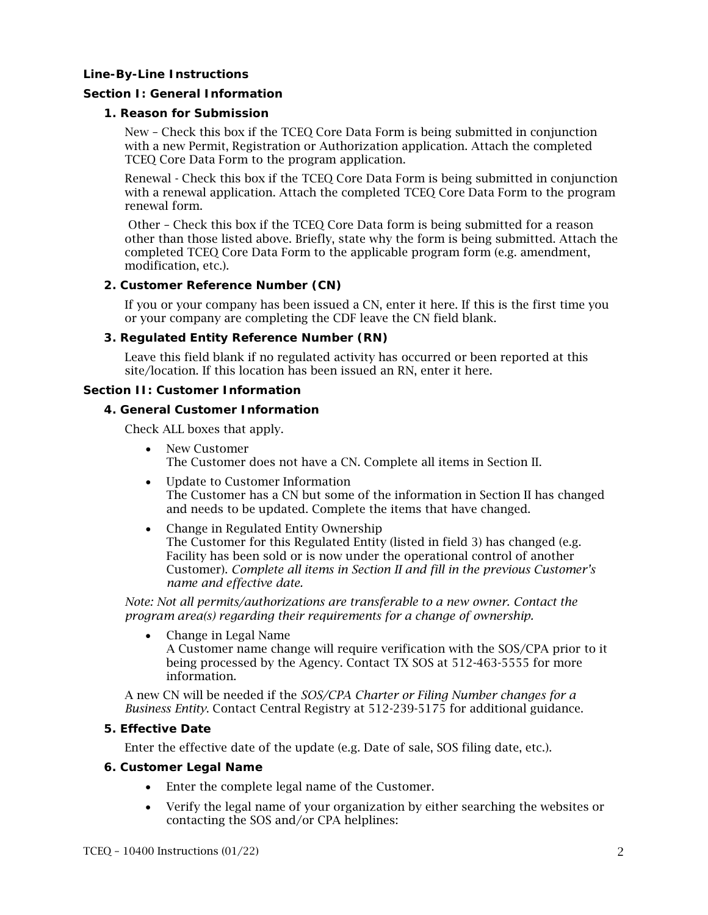#### **Line-By-Line Instructions**

#### **Section I: General Information**

#### **1. Reason for Submission**

New – Check this box if the TCEQ Core Data Form is being submitted in conjunction with a new Permit, Registration or Authorization application. Attach the completed TCEQ Core Data Form to the program application.

Renewal - Check this box if the TCEQ Core Data Form is being submitted in conjunction with a renewal application. Attach the completed TCEQ Core Data Form to the program renewal form.

Other – Check this box if the TCEQ Core Data form is being submitted for a reason other than those listed above. Briefly, state why the form is being submitted. Attach the completed TCEQ Core Data Form to the applicable program form (e.g. amendment, modification, etc.).

#### **2. Customer Reference Number (CN)**

If you or your company has been issued a CN, enter it here. If this is the first time you or your company are completing the CDF leave the CN field blank.

## **3. Regulated Entity Reference Number (RN)**

Leave this field blank if no regulated activity has occurred or been reported at this site/location. If this location has been issued an RN, enter it here.

#### **Section II: Customer Information**

#### **4. General Customer Information**

Check ALL boxes that apply.

• New Customer

The Customer does not have a CN. Complete all items in Section II.

- Update to Customer Information The Customer has a CN but some of the information in Section II has changed and needs to be updated. Complete the items that have changed.
- Change in Regulated Entity Ownership The Customer for this Regulated Entity (listed in field 3) has changed (e.g. Facility has been sold or is now under the operational control of another Customer). *Complete all items in Section II and fill in the previous Customer's name and effective date.*

*Note: Not all permits/authorizations are transferable to a new owner. Contact the program area(s) regarding their requirements for a change of ownership.*

• Change in Legal Name

A Customer name change will require verification with the SOS/CPA prior to it being processed by the Agency. Contact TX SOS at 512-463-5555 for more information.

A new CN will be needed if the *SOS/CPA Charter or Filing Number changes for a Business Entity*. Contact Central Registry at 512-239-5175 for additional guidance.

## **5. Effective Date**

Enter the effective date of the update (e.g. Date of sale, SOS filing date, etc.).

## **6. Customer Legal Name**

- Enter the complete legal name of the Customer.
- Verify the legal name of your organization by either searching the websites or contacting the SOS and/or CPA helplines: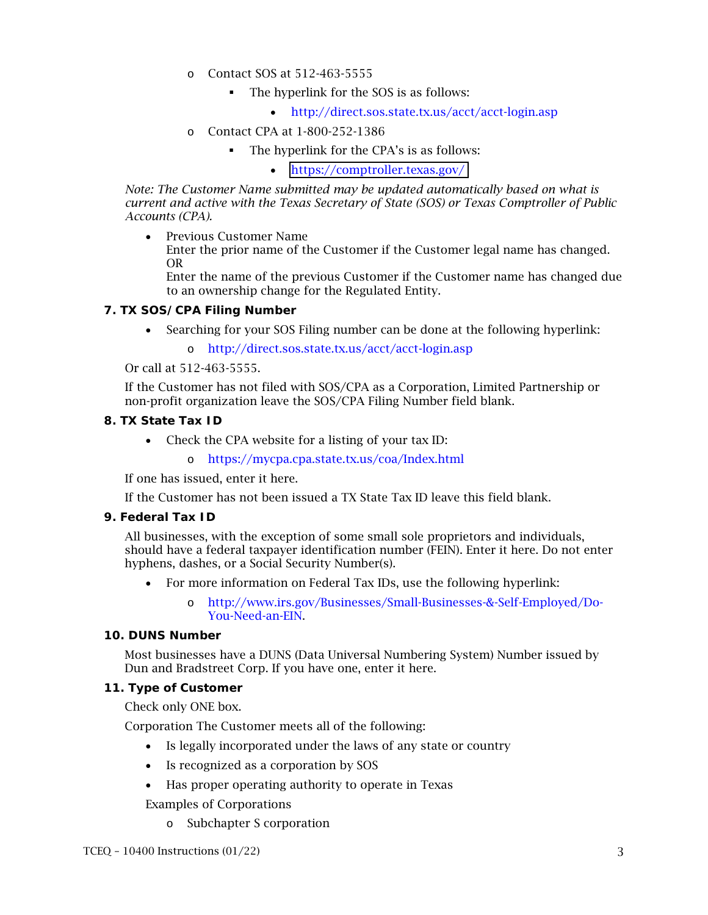- o Contact SOS at 512-463-5555
	- The hyperlink for the SOS is as follows:
		- <http://direct.sos.state.tx.us/acct/acct-login.asp>
- o Contact CPA at 1-800-252-1386
	- The hyperlink for the CPA's is as follows:

• <https://comptroller.texas.gov/>

*Note: The Customer Name submitted may be updated automatically based on what is current and active with the Texas Secretary of State (SOS) or Texas Comptroller of Public Accounts (CPA).*

• Previous Customer Name

Enter the prior name of the Customer if the Customer legal name has changed. OR

Enter the name of the previous Customer if the Customer name has changed due to an ownership change for the Regulated Entity.

#### **7. TX SOS/CPA Filing Number**

- Searching for your SOS Filing number can be done at the following hyperlink:
	- o <http://direct.sos.state.tx.us/acct/acct-login.asp>

Or call at 512-463-5555.

If the Customer has not filed with SOS/CPA as a Corporation, Limited Partnership or non-profit organization leave the SOS/CPA Filing Number field blank.

## **8. TX State Tax ID**

- Check the CPA website for a listing of your tax ID:
	- o <https://mycpa.cpa.state.tx.us/coa/Index.html>

If one has issued, enter it here.

If the Customer has not been issued a TX State Tax ID leave this field blank.

## **9. Federal Tax ID**

All businesses, with the exception of some small sole proprietors and individuals, should have a federal taxpayer identification number (FEIN). Enter it here. Do not enter hyphens, dashes, or a Social Security Number(s).

- For more information on Federal Tax IDs, use the following hyperlink:
	- o [http://www.irs.gov/Businesses/Small-Businesses-&-Self-Employed/Do-](http://www.irs.gov/Businesses/Small-Businesses-&-Self-Employed/Do-You-Need-an-EIN)[You-Need-an-EIN.](http://www.irs.gov/Businesses/Small-Businesses-&-Self-Employed/Do-You-Need-an-EIN)

## **10. DUNS Number**

Most businesses have a DUNS (Data Universal Numbering System) Number issued by Dun and Bradstreet Corp. If you have one, enter it here.

#### **11. Type of Customer**

Check only ONE box.

Corporation The Customer meets all of the following:

- Is legally incorporated under the laws of any state or country
- Is recognized as a corporation by SOS
- Has proper operating authority to operate in Texas

Examples of Corporations

o Subchapter S corporation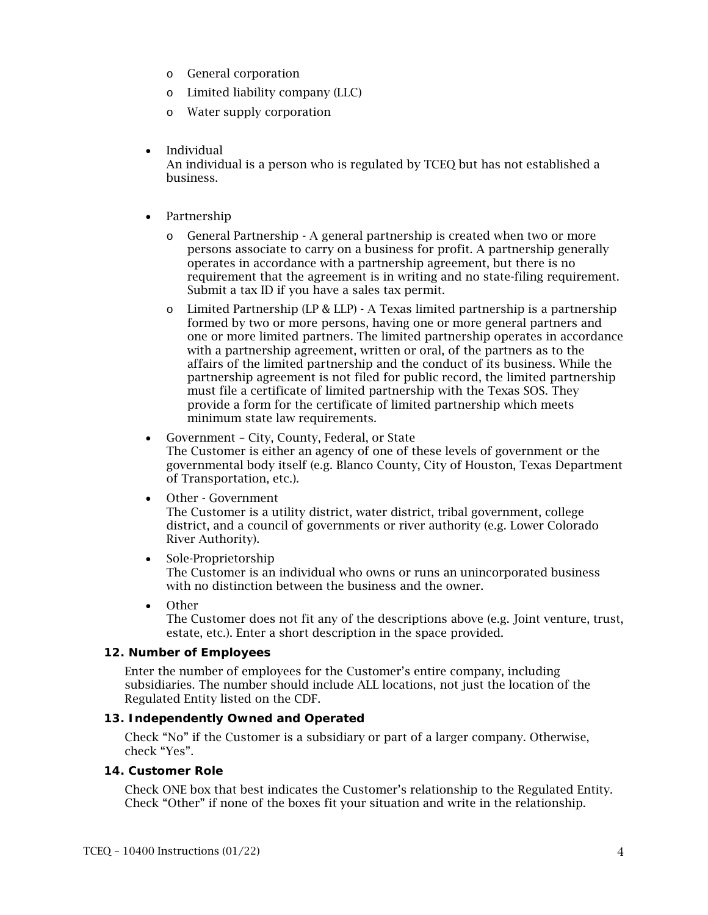- o General corporation
- o Limited liability company (LLC)
- o Water supply corporation
- Individual

An individual is a person who is regulated by TCEQ but has not established a business.

- Partnership
	- o General Partnership A general partnership is created when two or more persons associate to carry on a business for profit. A partnership generally operates in accordance with a partnership agreement, but there is no requirement that the agreement is in writing and no state-filing requirement. Submit a tax ID if you have a sales tax permit.
	- $\circ$  Limited Partnership (LP & LLP) A Texas limited partnership is a partnership formed by two or more persons, having one or more general partners and one or more limited partners. The limited partnership operates in accordance with a partnership agreement, written or oral, of the partners as to the affairs of the limited partnership and the conduct of its business. While the partnership agreement is not filed for public record, the limited partnership must file a certificate of limited partnership with the Texas SOS. They provide a form for the certificate of limited partnership which meets minimum state law requirements.
- Government City, County, Federal, or State The Customer is either an agency of one of these levels of government or the governmental body itself (e.g. Blanco County, City of Houston, Texas Department of Transportation, etc.).
- Other Government

The Customer is a utility district, water district, tribal government, college district, and a council of governments or river authority (e.g. Lower Colorado River Authority).

- Sole-Proprietorship The Customer is an individual who owns or runs an unincorporated business with no distinction between the business and the owner.
- Other

The Customer does not fit any of the descriptions above (e.g. Joint venture, trust, estate, etc.). Enter a short description in the space provided.

#### **12. Number of Employees**

Enter the number of employees for the Customer's entire company, including subsidiaries. The number should include ALL locations, not just the location of the Regulated Entity listed on the CDF.

## **13. Independently Owned and Operated**

Check "No" if the Customer is a subsidiary or part of a larger company. Otherwise, check "Yes".

## **14. Customer Role**

Check ONE box that best indicates the Customer's relationship to the Regulated Entity. Check "Other" if none of the boxes fit your situation and write in the relationship.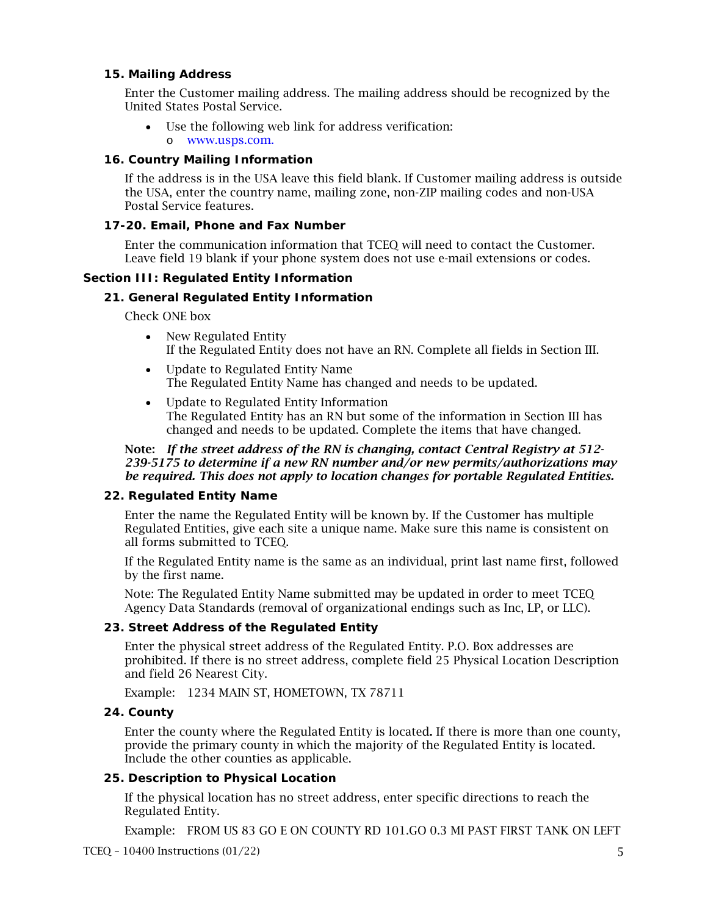## **15. Mailing Address**

Enter the Customer mailing address. The mailing address should be recognized by the United States Postal Service.

• Use the following web link for address verification: o [www.usps.com.](https://tools.usps.com/zip-code-lookup.htm)

## **16. Country Mailing Information**

If the address is in the USA leave this field blank. If Customer mailing address is outside the USA, enter the country name, mailing zone, non-ZIP mailing codes and non-USA Postal Service features.

#### **17-20. Email, Phone and Fax Number**

Enter the communication information that TCEQ will need to contact the Customer. Leave field 19 blank if your phone system does not use e-mail extensions or codes.

#### **Section III: Regulated Entity Information**

#### **21. General Regulated Entity Information**

Check ONE box

- New Regulated Entity If the Regulated Entity does not have an RN. Complete all fields in Section III.
- Update to Regulated Entity Name The Regulated Entity Name has changed and needs to be updated.
- Update to Regulated Entity Information The Regulated Entity has an RN but some of the information in Section III has changed and needs to be updated. Complete the items that have changed.

#### Note: *If the street address of the RN is changing, contact Central Registry at 512- 239-5175 to determine if a new RN number and/or new permits/authorizations may be required. This does not apply to location changes for portable Regulated Entities.*

#### **22. Regulated Entity Name**

Enter the name the Regulated Entity will be known by. If the Customer has multiple Regulated Entities, give each site a unique name. Make sure this name is consistent on all forms submitted to TCEQ.

If the Regulated Entity name is the same as an individual, print last name first, followed by the first name.

Note: The Regulated Entity Name submitted may be updated in order to meet TCEQ Agency Data Standards (removal of organizational endings such as Inc, LP, or LLC).

#### **23. Street Address of the Regulated Entity**

Enter the physical street address of the Regulated Entity. P.O. Box addresses are prohibited. If there is no street address, complete field 25 Physical Location Description and field 26 Nearest City.

Example: 1234 MAIN ST, HOMETOWN, TX 78711

## **24. County**

Enter the county where the Regulated Entity is located. If there is more than one county, provide the primary county in which the majority of the Regulated Entity is located. Include the other counties as applicable.

#### **25. Description to Physical Location**

If the physical location has no street address, enter specific directions to reach the Regulated Entity.

Example: FROM US 83 GO E ON COUNTY RD 101.GO 0.3 MI PAST FIRST TANK ON LEFT